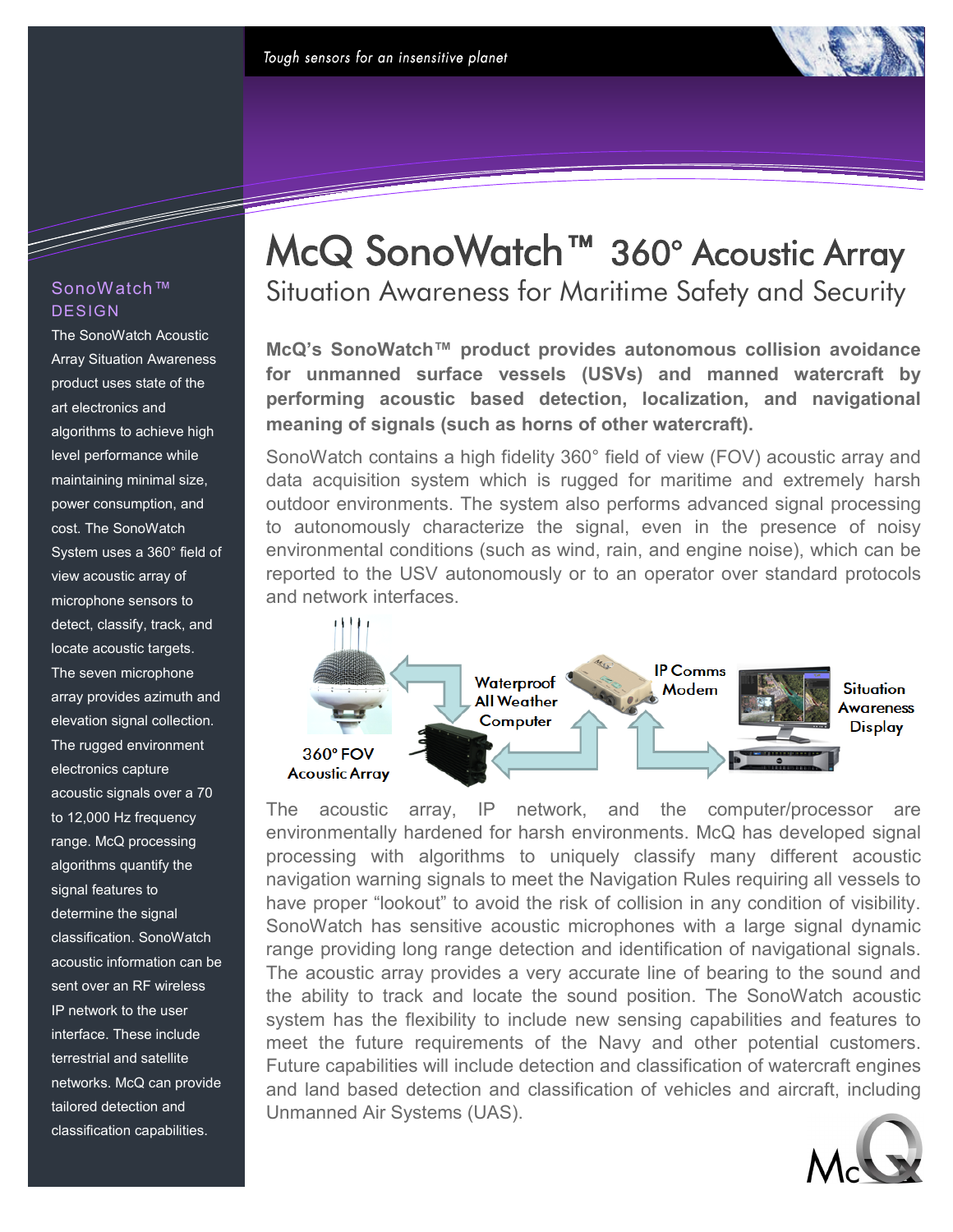## SonoWatch™ DESIGN

a da kasar Tanzania.<br>Tanzania

The SonoWatch Acoustic Array Situation Awareness product uses state of the art electronics and algorithms to achieve high level performance while maintaining minimal size, power consumption, and cost. The SonoWatch System uses a 360° field of view acoustic array of microphone sensors to detect, classify, track, and locate acoustic targets. The seven microphone array provides azimuth and elevation signal collection. The rugged environment electronics capture acoustic signals over a 70 to 12,000 Hz frequency range. McQ processing algorithms quantify the signal features to determine the signal classification. SonoWatch acoustic information can be sent over an RF wireless IP network to the user interface. These include terrestrial and satellite networks. McQ can provide tailored detection and classification capabilities.

# McQ SonoWatch™ 360° Acoustic Array Situation Awareness for Maritime Safety and Security

**McQ's SonoWatch™ product provides autonomous collision avoidance for unmanned surface vessels (USVs) and manned watercraft by performing acoustic based detection, localization, and navigational meaning of signals (such as horns of other watercraft).**

SonoWatch contains a high fidelity 360° field of view (FOV) acoustic array and data acquisition system which is rugged for maritime and extremely harsh outdoor environments. The system also performs advanced signal processing to autonomously characterize the signal, even in the presence of noisy environmental conditions (such as wind, rain, and engine noise), which can be reported to the USV autonomously or to an operator over standard protocols and network interfaces.



The acoustic array, IP network, and the computer/processor environmentally hardened for harsh environments. McQ has developed signal processing with algorithms to uniquely classify many different acoustic navigation warning signals to meet the Navigation Rules requiring all vessels to have proper "lookout" to avoid the risk of collision in any condition of visibility. SonoWatch has sensitive acoustic microphones with a large signal dynamic range providing long range detection and identification of navigational signals. The acoustic array provides a very accurate line of bearing to the sound and the ability to track and locate the sound position. The SonoWatch acoustic system has the flexibility to include new sensing capabilities and features to meet the future requirements of the Navy and other potential customers. Future capabilities will include detection and classification of watercraft engines and land based detection and classification of vehicles and aircraft, including Unmanned Air Systems (UAS).